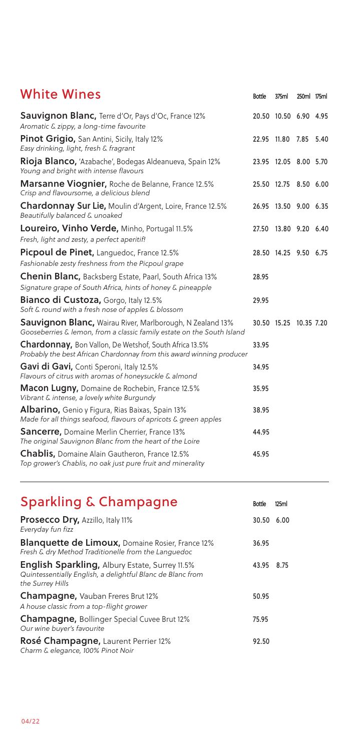| <b>White Wines</b>                                                                                                                         | <b>Bottle</b> | 375ml                  | 250ml 175ml |  |
|--------------------------------------------------------------------------------------------------------------------------------------------|---------------|------------------------|-------------|--|
| <b>Sauvignon Blanc, Terre d'Or, Pays d'Oc, France 12%</b><br>Aromatic & zippy, a long-time favourite                                       |               | 20.50 10.50 6.90 4.95  |             |  |
| Pinot Grigio, San Antini, Sicily, Italy 12%<br>Easy drinking, light, fresh & fragrant                                                      |               | 22.95 11.80 7.85 5.40  |             |  |
| <b>Rioja Blanco,</b> 'Azabache', Bodegas Aldeanueva, Spain 12%<br>Young and bright with intense flavours                                   |               | 23.95 12.05 8.00 5.70  |             |  |
| Marsanne Viognier, Roche de Belanne, France 12.5%<br>Crisp and flavoursome, a delicious blend                                              |               | 25.50 12.75 8.50 6.00  |             |  |
| Chardonnay Sur Lie, Moulin d'Argent, Loire, France 12.5%<br>Beautifully balanced & unoaked                                                 |               | 26.95 13.50 9.00 6.35  |             |  |
| Loureiro, Vinho Verde, Minho, Portugal 11.5%<br>Fresh, light and zesty, a perfect aperitif!                                                | 27.50         | 13.80 9.20 6.40        |             |  |
| Picpoul de Pinet, Languedoc, France 12.5%<br>Fashionable zesty freshness from the Picpoul grape                                            |               | 28.50 14.25 9.50 6.75  |             |  |
| Chenin Blanc, Backsberg Estate, Paarl, South Africa 13%<br>Signature grape of South Africa, hints of honey & pineapple                     | 28.95         |                        |             |  |
| Bianco di Custoza, Gorgo, Italy 12.5%<br>Soft & round with a fresh nose of apples & blossom                                                | 29.95         |                        |             |  |
| <b>Sauvignon Blanc, Wairau River, Marlborough, N Zealand 13%</b><br>Gooseberries & lemon, from a classic family estate on the South Island |               | 30.50 15.25 10.35 7.20 |             |  |
| <b>Chardonnay, Bon Vallon, De Wetshof, South Africa 13.5%</b><br>Probably the best African Chardonnay from this award winning producer     | 33.95         |                        |             |  |
| Gavi di Gavi, Conti Speroni, Italy 12.5%<br>Flavours of citrus with aromas of honeysuckle & almond                                         | 34.95         |                        |             |  |
| Macon Lugny, Domaine de Rochebin, France 12.5%<br>Vibrant & intense, a lovely white Burgundy                                               | 35.95         |                        |             |  |
| <b>Albarino,</b> Genio y Figura, Rias Baixas, Spain 13%<br>Made for all things seafood, flavours of apricots & green apples                | 38.95         |                        |             |  |
| <b>Sancerre, Domaine Merlin Cherrier, France 13%</b><br>The original Sauvignon Blanc from the heart of the Loire                           | 44.95         |                        |             |  |
| <b>Chablis, Domaine Alain Gautheron, France 12.5%</b><br>Top grower's Chablis, no oak just pure fruit and minerality                       | 45.95         |                        |             |  |

## Sparkling & Champagne Bottle 125ml

| Prosecco Dry, Azzillo, Italy 11%<br>Everyday fun fizz                                                                                   | 30.50 | 6.00 |
|-----------------------------------------------------------------------------------------------------------------------------------------|-------|------|
| <b>Blanquette de Limoux, Domaine Rosier, France 12%</b><br>Fresh & dry Method Traditionelle from the Languedoc                          | 36.95 |      |
| <b>English Sparkling, Albury Estate, Surrey 11.5%</b><br>Quintessentially English, a delightful Blanc de Blanc from<br>the Surrey Hills | 43.95 | 8.75 |
| <b>Champagne, Vauban Freres Brut 12%</b><br>A house classic from a top-flight grower                                                    | 50.95 |      |
| <b>Champagne, Bollinger Special Cuvee Brut 12%</b><br>Our wine buyer's favourite                                                        | 75.95 |      |
| Rosé Champagne, Laurent Perrier 12%<br>Charm & elegance, 100% Pinot Noir                                                                | 92.50 |      |